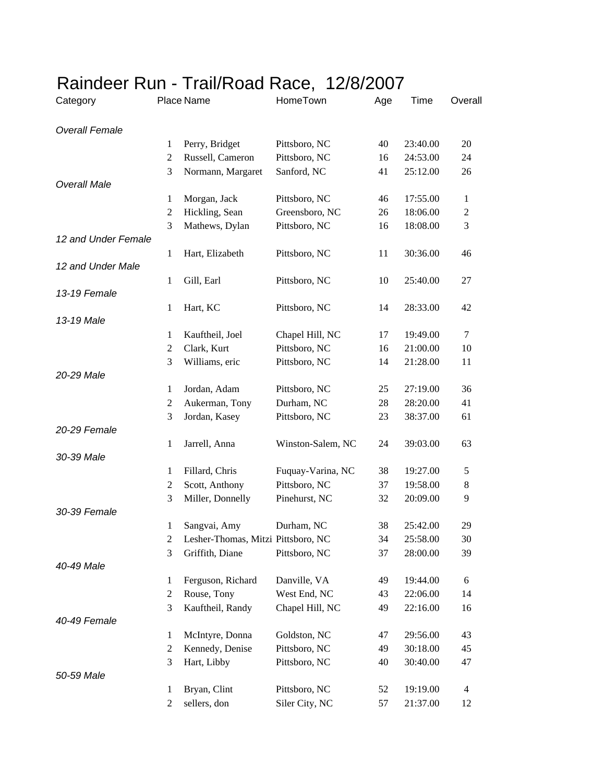| <b>Overall Female</b><br>20<br>Perry, Bridget<br>Pittsboro, NC<br>40<br>23:40.00<br>$\mathbf{1}$<br>$\mathbf{2}$<br>Russell, Cameron<br>Pittsboro, NC<br>16<br>24:53.00<br>24<br>3<br>Normann, Margaret<br>Sanford, NC<br>41<br>25:12.00<br>26<br><b>Overall Male</b><br>17:55.00<br>Morgan, Jack<br>Pittsboro, NC<br>46<br>1<br>1<br>$\mathfrak{2}$<br>Hickling, Sean<br>Greensboro, NC<br>18:06.00<br>26<br>$\overline{c}$<br>3<br>$\mathfrak{Z}$<br>Mathews, Dylan<br>Pittsboro, NC<br>16<br>18:08.00<br>12 and Under Female<br>1<br>Hart, Elizabeth<br>Pittsboro, NC<br>11<br>30:36.00<br>46<br>12 and Under Male<br>10<br>$\mathbf{1}$<br>Gill, Earl<br>Pittsboro, NC<br>25:40.00<br>27<br>13-19 Female<br>Pittsboro, NC<br>14<br>1<br>Hart, KC<br>28:33.00<br>42<br>13-19 Male<br>1<br>Kauftheil, Joel<br>Chapel Hill, NC<br>17<br>19:49.00<br>7<br>$\mathfrak{2}$<br>Clark, Kurt<br>Pittsboro, NC<br>21:00.00<br>16<br>10<br>3<br>Williams, eric<br>Pittsboro, NC<br>14<br>21:28.00<br>11<br>20-29 Male<br>Jordan, Adam<br>$\mathbf{1}$<br>Pittsboro, NC<br>25<br>27:19.00<br>36<br>$\mathfrak{2}$<br>Aukerman, Tony<br>Durham, NC<br>28<br>28:20.00<br>41<br>3<br>Jordan, Kasey<br>Pittsboro, NC<br>23<br>38:37.00<br>61<br>20-29 Female | Overall | Time | Age      | HomeTown | Place Name        |               | Category     |  |
|--------------------------------------------------------------------------------------------------------------------------------------------------------------------------------------------------------------------------------------------------------------------------------------------------------------------------------------------------------------------------------------------------------------------------------------------------------------------------------------------------------------------------------------------------------------------------------------------------------------------------------------------------------------------------------------------------------------------------------------------------------------------------------------------------------------------------------------------------------------------------------------------------------------------------------------------------------------------------------------------------------------------------------------------------------------------------------------------------------------------------------------------------------------------------------------------------------------------------------------------------|---------|------|----------|----------|-------------------|---------------|--------------|--|
|                                                                                                                                                                                                                                                                                                                                                                                                                                                                                                                                                                                                                                                                                                                                                                                                                                                                                                                                                                                                                                                                                                                                                                                                                                                  |         |      |          |          |                   |               |              |  |
|                                                                                                                                                                                                                                                                                                                                                                                                                                                                                                                                                                                                                                                                                                                                                                                                                                                                                                                                                                                                                                                                                                                                                                                                                                                  |         |      |          |          |                   |               |              |  |
|                                                                                                                                                                                                                                                                                                                                                                                                                                                                                                                                                                                                                                                                                                                                                                                                                                                                                                                                                                                                                                                                                                                                                                                                                                                  |         |      |          |          |                   |               |              |  |
|                                                                                                                                                                                                                                                                                                                                                                                                                                                                                                                                                                                                                                                                                                                                                                                                                                                                                                                                                                                                                                                                                                                                                                                                                                                  |         |      |          |          |                   |               |              |  |
|                                                                                                                                                                                                                                                                                                                                                                                                                                                                                                                                                                                                                                                                                                                                                                                                                                                                                                                                                                                                                                                                                                                                                                                                                                                  |         |      |          |          |                   |               |              |  |
|                                                                                                                                                                                                                                                                                                                                                                                                                                                                                                                                                                                                                                                                                                                                                                                                                                                                                                                                                                                                                                                                                                                                                                                                                                                  |         |      |          |          |                   |               |              |  |
|                                                                                                                                                                                                                                                                                                                                                                                                                                                                                                                                                                                                                                                                                                                                                                                                                                                                                                                                                                                                                                                                                                                                                                                                                                                  |         |      |          |          |                   |               |              |  |
|                                                                                                                                                                                                                                                                                                                                                                                                                                                                                                                                                                                                                                                                                                                                                                                                                                                                                                                                                                                                                                                                                                                                                                                                                                                  |         |      |          |          |                   |               |              |  |
|                                                                                                                                                                                                                                                                                                                                                                                                                                                                                                                                                                                                                                                                                                                                                                                                                                                                                                                                                                                                                                                                                                                                                                                                                                                  |         |      |          |          |                   |               |              |  |
|                                                                                                                                                                                                                                                                                                                                                                                                                                                                                                                                                                                                                                                                                                                                                                                                                                                                                                                                                                                                                                                                                                                                                                                                                                                  |         |      |          |          |                   |               |              |  |
|                                                                                                                                                                                                                                                                                                                                                                                                                                                                                                                                                                                                                                                                                                                                                                                                                                                                                                                                                                                                                                                                                                                                                                                                                                                  |         |      |          |          |                   |               |              |  |
|                                                                                                                                                                                                                                                                                                                                                                                                                                                                                                                                                                                                                                                                                                                                                                                                                                                                                                                                                                                                                                                                                                                                                                                                                                                  |         |      |          |          |                   |               |              |  |
|                                                                                                                                                                                                                                                                                                                                                                                                                                                                                                                                                                                                                                                                                                                                                                                                                                                                                                                                                                                                                                                                                                                                                                                                                                                  |         |      |          |          |                   |               |              |  |
|                                                                                                                                                                                                                                                                                                                                                                                                                                                                                                                                                                                                                                                                                                                                                                                                                                                                                                                                                                                                                                                                                                                                                                                                                                                  |         |      |          |          |                   |               |              |  |
|                                                                                                                                                                                                                                                                                                                                                                                                                                                                                                                                                                                                                                                                                                                                                                                                                                                                                                                                                                                                                                                                                                                                                                                                                                                  |         |      |          |          |                   |               |              |  |
|                                                                                                                                                                                                                                                                                                                                                                                                                                                                                                                                                                                                                                                                                                                                                                                                                                                                                                                                                                                                                                                                                                                                                                                                                                                  |         |      |          |          |                   |               |              |  |
|                                                                                                                                                                                                                                                                                                                                                                                                                                                                                                                                                                                                                                                                                                                                                                                                                                                                                                                                                                                                                                                                                                                                                                                                                                                  |         |      |          |          |                   |               |              |  |
|                                                                                                                                                                                                                                                                                                                                                                                                                                                                                                                                                                                                                                                                                                                                                                                                                                                                                                                                                                                                                                                                                                                                                                                                                                                  |         |      |          |          |                   |               |              |  |
|                                                                                                                                                                                                                                                                                                                                                                                                                                                                                                                                                                                                                                                                                                                                                                                                                                                                                                                                                                                                                                                                                                                                                                                                                                                  |         |      |          |          |                   |               |              |  |
|                                                                                                                                                                                                                                                                                                                                                                                                                                                                                                                                                                                                                                                                                                                                                                                                                                                                                                                                                                                                                                                                                                                                                                                                                                                  |         |      |          |          |                   |               |              |  |
|                                                                                                                                                                                                                                                                                                                                                                                                                                                                                                                                                                                                                                                                                                                                                                                                                                                                                                                                                                                                                                                                                                                                                                                                                                                  |         |      |          |          |                   |               |              |  |
|                                                                                                                                                                                                                                                                                                                                                                                                                                                                                                                                                                                                                                                                                                                                                                                                                                                                                                                                                                                                                                                                                                                                                                                                                                                  |         |      |          |          |                   |               |              |  |
|                                                                                                                                                                                                                                                                                                                                                                                                                                                                                                                                                                                                                                                                                                                                                                                                                                                                                                                                                                                                                                                                                                                                                                                                                                                  |         |      |          |          |                   |               |              |  |
|                                                                                                                                                                                                                                                                                                                                                                                                                                                                                                                                                                                                                                                                                                                                                                                                                                                                                                                                                                                                                                                                                                                                                                                                                                                  | 63      |      | 39:03.00 | 24       | Winston-Salem, NC | Jarrell, Anna | $\mathbf{1}$ |  |
| 30-39 Male                                                                                                                                                                                                                                                                                                                                                                                                                                                                                                                                                                                                                                                                                                                                                                                                                                                                                                                                                                                                                                                                                                                                                                                                                                       |         |      |          |          |                   |               |              |  |
| Fillard, Chris<br>Fuquay-Varina, NC<br>38<br>$\mathbf{1}$<br>19:27.00<br>5                                                                                                                                                                                                                                                                                                                                                                                                                                                                                                                                                                                                                                                                                                                                                                                                                                                                                                                                                                                                                                                                                                                                                                       |         |      |          |          |                   |               |              |  |
| $\mathbf{2}$<br>Scott, Anthony<br>Pittsboro, NC<br>37<br>19:58.00<br>$\,8\,$                                                                                                                                                                                                                                                                                                                                                                                                                                                                                                                                                                                                                                                                                                                                                                                                                                                                                                                                                                                                                                                                                                                                                                     |         |      |          |          |                   |               |              |  |
| 3<br>Miller, Donnelly<br>Pinehurst, NC<br>32<br>20:09.00<br>9                                                                                                                                                                                                                                                                                                                                                                                                                                                                                                                                                                                                                                                                                                                                                                                                                                                                                                                                                                                                                                                                                                                                                                                    |         |      |          |          |                   |               |              |  |
| 30-39 Female                                                                                                                                                                                                                                                                                                                                                                                                                                                                                                                                                                                                                                                                                                                                                                                                                                                                                                                                                                                                                                                                                                                                                                                                                                     |         |      |          |          |                   |               |              |  |
| Durham, NC<br>1<br>Sangvai, Amy<br>38<br>25:42.00<br>29                                                                                                                                                                                                                                                                                                                                                                                                                                                                                                                                                                                                                                                                                                                                                                                                                                                                                                                                                                                                                                                                                                                                                                                          |         |      |          |          |                   |               |              |  |
| Lesher-Thomas, Mitzi Pittsboro, NC<br>34<br>30<br>$\overline{c}$<br>25:58.00                                                                                                                                                                                                                                                                                                                                                                                                                                                                                                                                                                                                                                                                                                                                                                                                                                                                                                                                                                                                                                                                                                                                                                     |         |      |          |          |                   |               |              |  |
| 3<br>Griffith, Diane<br>Pittsboro, NC<br>37<br>28:00.00<br>39                                                                                                                                                                                                                                                                                                                                                                                                                                                                                                                                                                                                                                                                                                                                                                                                                                                                                                                                                                                                                                                                                                                                                                                    |         |      |          |          |                   |               |              |  |
| 40-49 Male                                                                                                                                                                                                                                                                                                                                                                                                                                                                                                                                                                                                                                                                                                                                                                                                                                                                                                                                                                                                                                                                                                                                                                                                                                       |         |      |          |          |                   |               |              |  |
| Danville, VA<br>$\mathbf{1}$<br>Ferguson, Richard<br>49<br>19:44.00<br>6                                                                                                                                                                                                                                                                                                                                                                                                                                                                                                                                                                                                                                                                                                                                                                                                                                                                                                                                                                                                                                                                                                                                                                         |         |      |          |          |                   |               |              |  |
| $\overline{c}$<br>Rouse, Tony<br>West End, NC<br>22:06.00<br>43<br>14                                                                                                                                                                                                                                                                                                                                                                                                                                                                                                                                                                                                                                                                                                                                                                                                                                                                                                                                                                                                                                                                                                                                                                            |         |      |          |          |                   |               |              |  |
| 3<br>Kauftheil, Randy<br>Chapel Hill, NC<br>22:16.00<br>49<br>16                                                                                                                                                                                                                                                                                                                                                                                                                                                                                                                                                                                                                                                                                                                                                                                                                                                                                                                                                                                                                                                                                                                                                                                 |         |      |          |          |                   |               |              |  |
| 40-49 Female                                                                                                                                                                                                                                                                                                                                                                                                                                                                                                                                                                                                                                                                                                                                                                                                                                                                                                                                                                                                                                                                                                                                                                                                                                     |         |      |          |          |                   |               |              |  |
| McIntyre, Donna<br>$\mathbf{1}$<br>Goldston, NC<br>47<br>29:56.00<br>43                                                                                                                                                                                                                                                                                                                                                                                                                                                                                                                                                                                                                                                                                                                                                                                                                                                                                                                                                                                                                                                                                                                                                                          |         |      |          |          |                   |               |              |  |
| Kennedy, Denise<br>$\mathbf{2}$<br>Pittsboro, NC<br>30:18.00<br>49<br>45                                                                                                                                                                                                                                                                                                                                                                                                                                                                                                                                                                                                                                                                                                                                                                                                                                                                                                                                                                                                                                                                                                                                                                         |         |      |          |          |                   |               |              |  |
| 3<br>Hart, Libby<br>Pittsboro, NC<br>40<br>30:40.00<br>47                                                                                                                                                                                                                                                                                                                                                                                                                                                                                                                                                                                                                                                                                                                                                                                                                                                                                                                                                                                                                                                                                                                                                                                        |         |      |          |          |                   |               |              |  |
| 50-59 Male                                                                                                                                                                                                                                                                                                                                                                                                                                                                                                                                                                                                                                                                                                                                                                                                                                                                                                                                                                                                                                                                                                                                                                                                                                       |         |      |          |          |                   |               |              |  |
| Bryan, Clint<br>Pittsboro, NC<br>52<br>19:19.00<br>$\overline{4}$<br>$\mathbf{1}$                                                                                                                                                                                                                                                                                                                                                                                                                                                                                                                                                                                                                                                                                                                                                                                                                                                                                                                                                                                                                                                                                                                                                                |         |      |          |          |                   |               |              |  |
| sellers, don<br>Siler City, NC<br>21:37.00<br>$\overline{c}$<br>57<br>12                                                                                                                                                                                                                                                                                                                                                                                                                                                                                                                                                                                                                                                                                                                                                                                                                                                                                                                                                                                                                                                                                                                                                                         |         |      |          |          |                   |               |              |  |

## Raindeer Run - Trail/Road Race, 12/8/2007